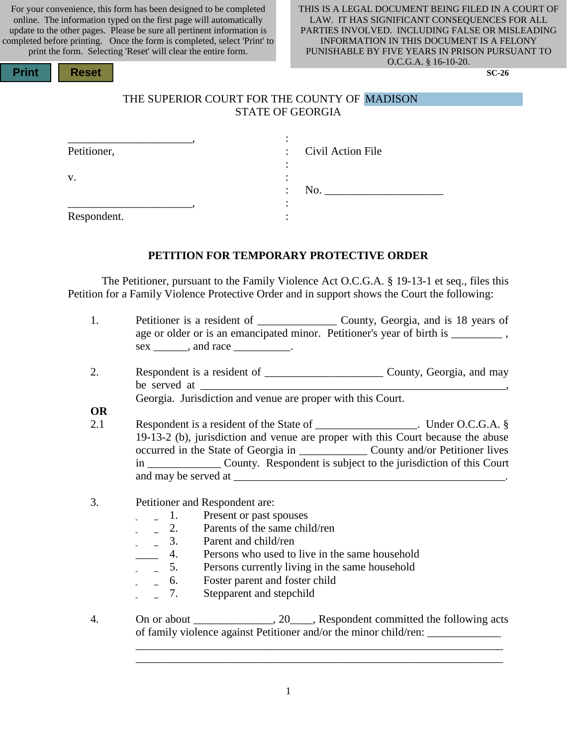For your convenience, this form has been designed to be completed online. The information typed on the first page will automatically update to the other pages. Please be sure all pertinent information is completed before printing. Once the form is completed, select 'Print' to print the form. Selecting 'Reset' will clear the entire form.

**Print Reset** 

#### THIS IS A LEGAL DOCUMENT BEING FILED IN A COURT OF LAW. IT HAS SIGNIFICANT CONSEQUENCES FOR ALL PARTIES INVOLVED. INCLUDING FALSE OR MISLEADING INFORMATION IN THIS DOCUMENT IS A FELONY PUNISHABLE BY FIVE YEARS IN PRISON PURSUANT TO O.C.G.A. § 16-10-20.

**SC-26**

### THE SUPERIOR COURT FOR THE COUNTY OF MADISON STATE OF GEORGIA

| Petitioner, |                                              | : Civil Action File |
|-------------|----------------------------------------------|---------------------|
| V.          |                                              |                     |
|             | No.<br>$\bullet$<br>$\overline{\phantom{a}}$ |                     |
|             |                                              |                     |
| Respondent. |                                              |                     |

#### **PETITION FOR TEMPORARY PROTECTIVE ORDER**

The Petitioner, pursuant to the Family Violence Act O.C.G.A. § 19-13-1 et seq., files this Petition for a Family Violence Protective Order and in support shows the Court the following:

- 1. Petitioner is a resident of \_\_\_\_\_\_\_\_\_\_\_\_\_\_ County, Georgia, and is 18 years of age or older or is an emancipated minor. Petitioner's year of birth is \_\_\_\_\_\_\_\_\_\_\_\_\_\_, sex \_\_\_\_\_\_\_, and race \_\_\_\_\_\_\_\_\_\_.
- 2. Respondent is a resident of \_\_\_\_\_\_\_\_\_\_\_\_\_\_\_\_\_\_\_\_\_ County, Georgia, and may be served at

Georgia. Jurisdiction and venue are proper with this Court.

**OR**

- 2.1 Respondent is a resident of the State of \_\_\_\_\_\_\_\_\_\_\_\_\_\_\_\_\_\_. Under O.C.G.A. § 19-13-2 (b), jurisdiction and venue are proper with this Court because the abuse occurred in the State of Georgia in \_\_\_\_\_\_\_\_\_\_\_\_ County and/or Petitioner lives in \_\_\_\_\_\_\_\_\_\_\_\_\_ County. Respondent is subject to the jurisdiction of this Court and may be served at \_\_\_\_\_\_\_\_\_\_\_\_\_\_\_\_\_\_\_\_\_\_\_\_\_\_\_\_\_\_\_\_\_\_\_\_\_\_\_\_\_\_\_\_\_\_\_\_.
- 3. Petitioner and Respondent are:
	- \_\_\_\_ 1. Present or past spouses
	- $\frac{1}{2}$  2. Parents of the same child/ren
	- **EXECUTE:** 3. Parent and child/ren
		- 4. Persons who used to live in the same household
		- \_\_\_\_ 5. Persons currently living in the same household
	- \_\_\_\_ 6. Foster parent and foster child
	- \_\_\_\_ 7. Stepparent and stepchild
- 4. On or about \_\_\_\_\_\_\_\_\_\_\_\_, 20\_\_\_, Respondent committed the following acts of family violence against Petitioner and/or the minor child/ren: \_\_\_\_\_\_\_\_\_\_\_\_\_\_

\_\_\_\_\_\_\_\_\_\_\_\_\_\_\_\_\_\_\_\_\_\_\_\_\_\_\_\_\_\_\_\_\_\_\_\_\_\_\_\_\_\_\_\_\_\_\_\_\_\_\_\_\_\_\_\_\_\_\_\_\_\_\_\_\_ \_\_\_\_\_\_\_\_\_\_\_\_\_\_\_\_\_\_\_\_\_\_\_\_\_\_\_\_\_\_\_\_\_\_\_\_\_\_\_\_\_\_\_\_\_\_\_\_\_\_\_\_\_\_\_\_\_\_\_\_\_\_\_\_\_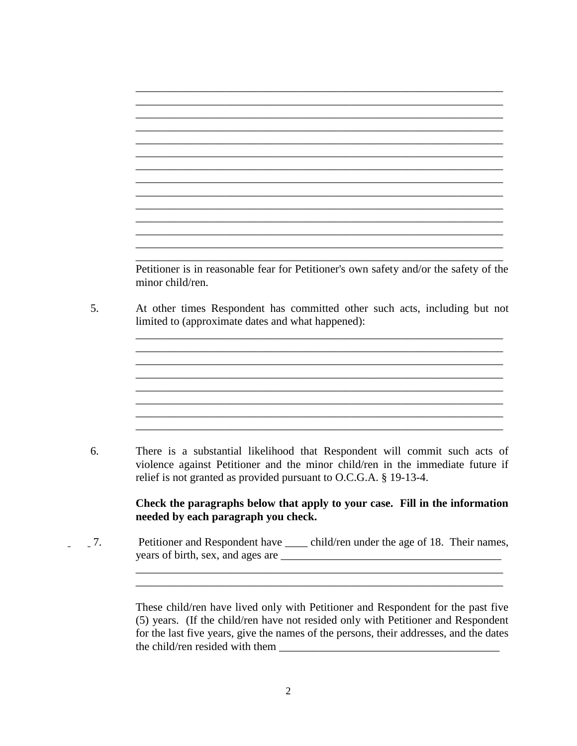\_\_\_\_\_\_\_\_\_\_\_\_\_\_\_\_\_\_\_\_\_\_\_\_\_\_\_\_\_\_\_\_\_\_\_\_\_\_\_\_\_\_\_\_\_\_\_\_\_\_\_\_\_\_\_\_\_\_\_\_\_\_\_\_\_ \_\_\_\_\_\_\_\_\_\_\_\_\_\_\_\_\_\_\_\_\_\_\_\_\_\_\_\_\_\_\_\_\_\_\_\_\_\_\_\_\_\_\_\_\_\_\_\_\_\_\_\_\_\_\_\_\_\_\_\_\_\_\_\_\_ \_\_\_\_\_\_\_\_\_\_\_\_\_\_\_\_\_\_\_\_\_\_\_\_\_\_\_\_\_\_\_\_\_\_\_\_\_\_\_\_\_\_\_\_\_\_\_\_\_\_\_\_\_\_\_\_\_\_\_\_\_\_\_\_\_ \_\_\_\_\_\_\_\_\_\_\_\_\_\_\_\_\_\_\_\_\_\_\_\_\_\_\_\_\_\_\_\_\_\_\_\_\_\_\_\_\_\_\_\_\_\_\_\_\_\_\_\_\_\_\_\_\_\_\_\_\_\_\_\_\_ \_\_\_\_\_\_\_\_\_\_\_\_\_\_\_\_\_\_\_\_\_\_\_\_\_\_\_\_\_\_\_\_\_\_\_\_\_\_\_\_\_\_\_\_\_\_\_\_\_\_\_\_\_\_\_\_\_\_\_\_\_\_\_\_\_ \_\_\_\_\_\_\_\_\_\_\_\_\_\_\_\_\_\_\_\_\_\_\_\_\_\_\_\_\_\_\_\_\_\_\_\_\_\_\_\_\_\_\_\_\_\_\_\_\_\_\_\_\_\_\_\_\_\_\_\_\_\_\_\_\_ \_\_\_\_\_\_\_\_\_\_\_\_\_\_\_\_\_\_\_\_\_\_\_\_\_\_\_\_\_\_\_\_\_\_\_\_\_\_\_\_\_\_\_\_\_\_\_\_\_\_\_\_\_\_\_\_\_\_\_\_\_\_\_\_\_ \_\_\_\_\_\_\_\_\_\_\_\_\_\_\_\_\_\_\_\_\_\_\_\_\_\_\_\_\_\_\_\_\_\_\_\_\_\_\_\_\_\_\_\_\_\_\_\_\_\_\_\_\_\_\_\_\_\_\_\_\_\_\_\_\_ \_\_\_\_\_\_\_\_\_\_\_\_\_\_\_\_\_\_\_\_\_\_\_\_\_\_\_\_\_\_\_\_\_\_\_\_\_\_\_\_\_\_\_\_\_\_\_\_\_\_\_\_\_\_\_\_\_\_\_\_\_\_\_\_\_ Petitioner is in reasonable fear for Petitioner's own safety and/or the safety of the minor child/ren. 5. At other times Respondent has committed other such acts, including but not limited to (approximate dates and what happened): \_\_\_\_\_\_\_\_\_\_\_\_\_\_\_\_\_\_\_\_\_\_\_\_\_\_\_\_\_\_\_\_\_\_\_\_\_\_\_\_\_\_\_\_\_\_\_\_\_\_\_\_\_\_\_\_\_\_\_\_\_\_\_\_\_ \_\_\_\_\_\_\_\_\_\_\_\_\_\_\_\_\_\_\_\_\_\_\_\_\_\_\_\_\_\_\_\_\_\_\_\_\_\_\_\_\_\_\_\_\_\_\_\_\_\_\_\_\_\_\_\_\_\_\_\_\_\_\_\_\_  $\mathcal{L}_\mathcal{L} = \{ \mathcal{L}_\mathcal{L} = \{ \mathcal{L}_\mathcal{L} = \{ \mathcal{L}_\mathcal{L} = \{ \mathcal{L}_\mathcal{L} = \{ \mathcal{L}_\mathcal{L} = \{ \mathcal{L}_\mathcal{L} = \{ \mathcal{L}_\mathcal{L} = \{ \mathcal{L}_\mathcal{L} = \{ \mathcal{L}_\mathcal{L} = \{ \mathcal{L}_\mathcal{L} = \{ \mathcal{L}_\mathcal{L} = \{ \mathcal{L}_\mathcal{L} = \{ \mathcal{L}_\mathcal{L} = \{ \mathcal{L}_\mathcal{$ \_\_\_\_\_\_\_\_\_\_\_\_\_\_\_\_\_\_\_\_\_\_\_\_\_\_\_\_\_\_\_\_\_\_\_\_\_\_\_\_\_\_\_\_\_\_\_\_\_\_\_\_\_\_\_\_\_\_\_\_\_\_\_\_\_ \_\_\_\_\_\_\_\_\_\_\_\_\_\_\_\_\_\_\_\_\_\_\_\_\_\_\_\_\_\_\_\_\_\_\_\_\_\_\_\_\_\_\_\_\_\_\_\_\_\_\_\_\_\_\_\_\_\_\_\_\_\_\_\_\_ \_\_\_\_\_\_\_\_\_\_\_\_\_\_\_\_\_\_\_\_\_\_\_\_\_\_\_\_\_\_\_\_\_\_\_\_\_\_\_\_\_\_\_\_\_\_\_\_\_\_\_\_\_\_\_\_\_\_\_\_\_\_\_\_\_ 6. There is a substantial likelihood that Respondent will commit such acts of violence against Petitioner and the minor child/ren in the immediate future if relief is not granted as provided pursuant to O.C.G.A. § 19-13-4. **Check the paragraphs below that apply to your case. Fill in the information needed by each paragraph you check.**  \_\_\_\_ 7. Petitioner and Respondent have \_\_\_\_ child/ren under the age of 18. Their names, years of birth, sex, and ages are \_\_\_\_\_\_\_\_\_\_\_\_\_\_\_\_\_\_\_\_\_\_\_\_\_\_\_\_\_\_\_\_\_\_\_\_\_\_\_\_\_\_\_\_\_\_\_\_\_\_\_\_\_\_\_\_\_\_\_\_\_\_\_\_\_

\_\_\_\_\_\_\_\_\_\_\_\_\_\_\_\_\_\_\_\_\_\_\_\_\_\_\_\_\_\_\_\_\_\_\_\_\_\_\_\_\_\_\_\_\_\_\_\_\_\_\_\_\_\_\_\_\_\_\_\_\_\_\_\_\_ \_\_\_\_\_\_\_\_\_\_\_\_\_\_\_\_\_\_\_\_\_\_\_\_\_\_\_\_\_\_\_\_\_\_\_\_\_\_\_\_\_\_\_\_\_\_\_\_\_\_\_\_\_\_\_\_\_\_\_\_\_\_\_\_\_

These child/ren have lived only with Petitioner and Respondent for the past five (5) years. (If the child/ren have not resided only with Petitioner and Respondent for the last five years, give the names of the persons, their addresses, and the dates the child/ren resided with them \_\_\_\_\_\_\_\_\_\_\_\_\_\_\_\_\_\_\_\_\_\_\_\_\_\_\_\_\_\_\_\_\_\_\_\_\_\_\_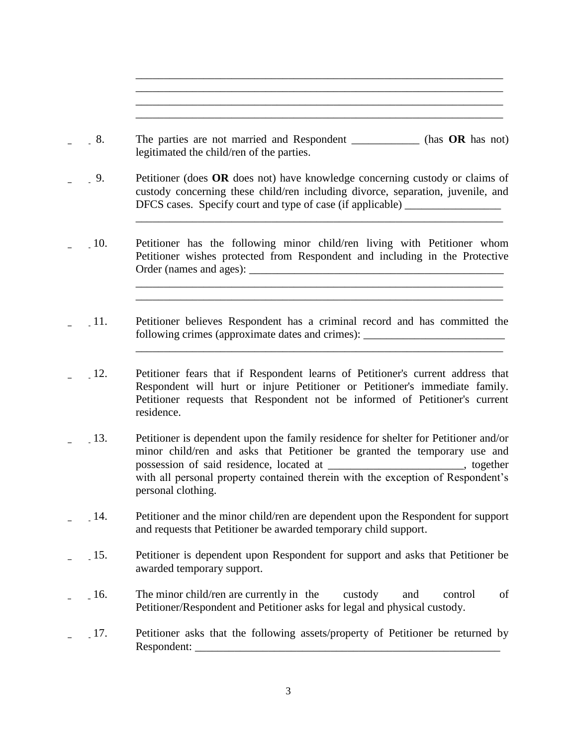\_\_\_\_ 8. The parties are not married and Respondent \_\_\_\_\_\_\_\_\_\_\_\_ (has **OR** has not) legitimated the child/ren of the parties.

\_\_\_\_\_\_\_\_\_\_\_\_\_\_\_\_\_\_\_\_\_\_\_\_\_\_\_\_\_\_\_\_\_\_\_\_\_\_\_\_\_\_\_\_\_\_\_\_\_\_\_\_\_\_\_\_\_\_\_\_\_\_\_\_\_ \_\_\_\_\_\_\_\_\_\_\_\_\_\_\_\_\_\_\_\_\_\_\_\_\_\_\_\_\_\_\_\_\_\_\_\_\_\_\_\_\_\_\_\_\_\_\_\_\_\_\_\_\_\_\_\_\_\_\_\_\_\_\_\_\_ \_\_\_\_\_\_\_\_\_\_\_\_\_\_\_\_\_\_\_\_\_\_\_\_\_\_\_\_\_\_\_\_\_\_\_\_\_\_\_\_\_\_\_\_\_\_\_\_\_\_\_\_\_\_\_\_\_\_\_\_\_\_\_\_\_ \_\_\_\_\_\_\_\_\_\_\_\_\_\_\_\_\_\_\_\_\_\_\_\_\_\_\_\_\_\_\_\_\_\_\_\_\_\_\_\_\_\_\_\_\_\_\_\_\_\_\_\_\_\_\_\_\_\_\_\_\_\_\_\_\_

\_\_\_\_\_\_\_\_\_\_\_\_\_\_\_\_\_\_\_\_\_\_\_\_\_\_\_\_\_\_\_\_\_\_\_\_\_\_\_\_\_\_\_\_\_\_\_\_\_\_\_\_\_\_\_\_\_\_\_\_\_\_\_\_\_

\_\_\_\_\_\_\_\_\_\_\_\_\_\_\_\_\_\_\_\_\_\_\_\_\_\_\_\_\_\_\_\_\_\_\_\_\_\_\_\_\_\_\_\_\_\_\_\_\_\_\_\_\_\_\_\_\_\_\_\_\_\_\_\_\_ \_\_\_\_\_\_\_\_\_\_\_\_\_\_\_\_\_\_\_\_\_\_\_\_\_\_\_\_\_\_\_\_\_\_\_\_\_\_\_\_\_\_\_\_\_\_\_\_\_\_\_\_\_\_\_\_\_\_\_\_\_\_\_\_\_

\_\_\_\_\_\_\_\_\_\_\_\_\_\_\_\_\_\_\_\_\_\_\_\_\_\_\_\_\_\_\_\_\_\_\_\_\_\_\_\_\_\_\_\_\_\_\_\_\_\_\_\_\_\_\_\_\_\_\_\_\_\_\_\_\_

- \_\_\_\_ 9. Petitioner (does **OR** does not) have knowledge concerning custody or claims of custody concerning these child/ren including divorce, separation, juvenile, and DFCS cases. Specify court and type of case (if applicable) \_\_\_\_\_\_\_\_\_\_\_\_\_\_\_\_\_\_\_\_\_
- \_\_\_\_ 10. Petitioner has the following minor child/ren living with Petitioner whom Petitioner wishes protected from Respondent and including in the Protective Order (names and ages): \_\_\_\_\_\_\_\_\_\_\_\_\_\_\_\_\_\_\_\_\_\_\_\_\_\_\_\_\_\_\_\_\_\_\_\_\_\_\_\_\_\_\_\_\_
- \_\_\_\_ 11. Petitioner believes Respondent has a criminal record and has committed the following crimes (approximate dates and crimes): \_\_\_\_\_\_\_\_\_\_\_\_\_\_\_\_\_\_\_\_\_\_\_\_\_\_\_\_\_\_\_\_
- \_\_\_\_ 12. Petitioner fears that if Respondent learns of Petitioner's current address that Respondent will hurt or injure Petitioner or Petitioner's immediate family. Petitioner requests that Respondent not be informed of Petitioner's current residence.
- \_\_\_\_ 13. Petitioner is dependent upon the family residence for shelter for Petitioner and/or minor child/ren and asks that Petitioner be granted the temporary use and possession of said residence, located at the set of said residence,  $\alpha$  at  $\alpha$  is together with all personal property contained therein with the exception of Respondent's personal clothing.
- \_\_\_\_ 14. Petitioner and the minor child/ren are dependent upon the Respondent for support and requests that Petitioner be awarded temporary child support.
- \_\_\_\_ 15. Petitioner is dependent upon Respondent for support and asks that Petitioner be awarded temporary support.
- \_\_\_\_ 16. The minor child/ren are currently in the custody and control of Petitioner/Respondent and Petitioner asks for legal and physical custody.
- \_\_\_\_ 17. Petitioner asks that the following assets/property of Petitioner be returned by Respondent: \_\_\_\_\_\_\_\_\_\_\_\_\_\_\_\_\_\_\_\_\_\_\_\_\_\_\_\_\_\_\_\_\_\_\_\_\_\_\_\_\_\_\_\_\_\_\_\_\_\_\_\_\_\_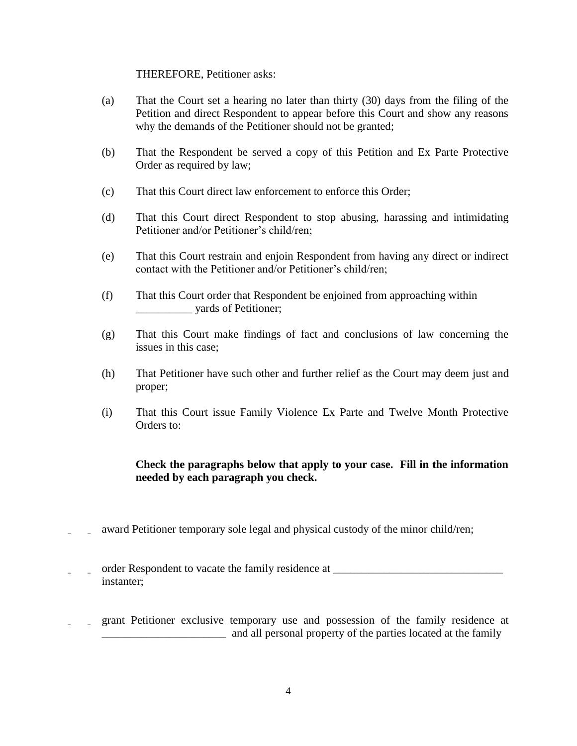#### THEREFORE, Petitioner asks:

- (a) That the Court set a hearing no later than thirty (30) days from the filing of the Petition and direct Respondent to appear before this Court and show any reasons why the demands of the Petitioner should not be granted;
- (b) That the Respondent be served a copy of this Petition and Ex Parte Protective Order as required by law;
- (c) That this Court direct law enforcement to enforce this Order;
- (d) That this Court direct Respondent to stop abusing, harassing and intimidating Petitioner and/or Petitioner's child/ren;
- (e) That this Court restrain and enjoin Respondent from having any direct or indirect contact with the Petitioner and/or Petitioner's child/ren;
- (f) That this Court order that Respondent be enjoined from approaching within \_\_\_\_\_\_\_\_\_\_ yards of Petitioner;
- (g) That this Court make findings of fact and conclusions of law concerning the issues in this case;
- (h) That Petitioner have such other and further relief as the Court may deem just and proper;
- (i) That this Court issue Family Violence Ex Parte and Twelve Month Protective Orders to:

#### **Check the paragraphs below that apply to your case. Fill in the information needed by each paragraph you check.**

- award Petitioner temporary sole legal and physical custody of the minor child/ren;
- \_\_\_\_ order Respondent to vacate the family residence at \_\_\_\_\_\_\_\_\_\_\_\_\_\_\_\_\_\_\_\_\_\_\_\_\_\_\_\_\_\_ instanter;
- \_\_\_\_ grant Petitioner exclusive temporary use and possession of the family residence at and all personal property of the parties located at the family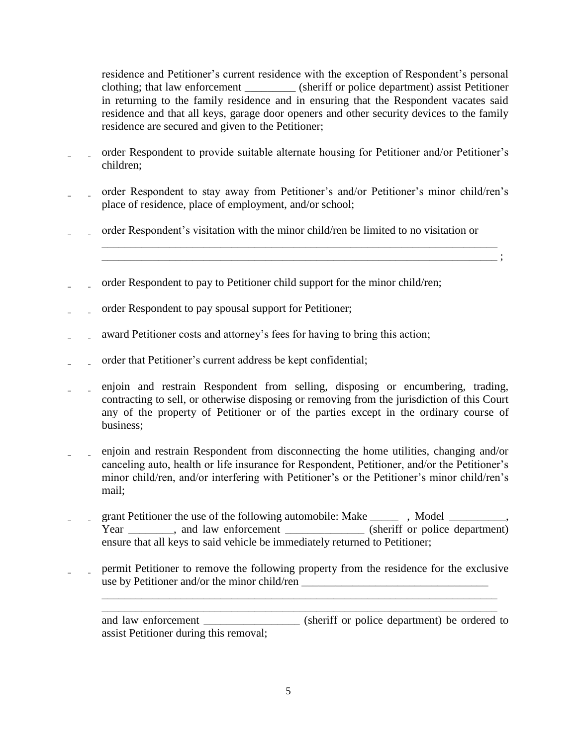residence and Petitioner's current residence with the exception of Respondent's personal clothing; that law enforcement \_\_\_\_\_\_\_\_\_ (sheriff or police department) assist Petitioner in returning to the family residence and in ensuring that the Respondent vacates said residence and that all keys, garage door openers and other security devices to the family residence are secured and given to the Petitioner;

- order Respondent to provide suitable alternate housing for Petitioner and/or Petitioner's children;
- \_\_\_\_ order Respondent to stay away from Petitioner's and/or Petitioner's minor child/ren's place of residence, place of employment, and/or school;
- \_\_\_\_ order Respondent's visitation with the minor child/ren be limited to no visitation or

 \_\_\_\_\_\_\_\_\_\_\_\_\_\_\_\_\_\_\_\_\_\_\_\_\_\_\_\_\_\_\_\_\_\_\_\_\_\_\_\_\_\_\_\_\_\_\_\_\_\_\_\_\_\_\_\_\_\_\_\_\_\_\_\_\_\_\_\_\_\_ \_\_\_\_\_\_\_\_\_\_\_\_\_\_\_\_\_\_\_\_\_\_\_\_\_\_\_\_\_\_\_\_\_\_\_\_\_\_\_\_\_\_\_\_\_\_\_\_\_\_\_\_\_\_\_\_\_\_\_\_\_\_\_\_\_\_\_\_\_\_ ;

- order Respondent to pay to Petitioner child support for the minor child/ren;
- order Respondent to pay spousal support for Petitioner;
- award Petitioner costs and attorney's fees for having to bring this action;
- \_\_\_\_ order that Petitioner's current address be kept confidential;
- \_\_\_\_ enjoin and restrain Respondent from selling, disposing or encumbering, trading, contracting to sell, or otherwise disposing or removing from the jurisdiction of this Court any of the property of Petitioner or of the parties except in the ordinary course of business;
- \_\_\_\_ enjoin and restrain Respondent from disconnecting the home utilities, changing and/or canceling auto, health or life insurance for Respondent, Petitioner, and/or the Petitioner's minor child/ren, and/or interfering with Petitioner's or the Petitioner's minor child/ren's mail;
- \_\_\_\_ grant Petitioner the use of the following automobile: Make \_\_\_\_\_ , Model \_\_\_\_\_\_\_\_\_\_, Year and law enforcement (sheriff or police department) ensure that all keys to said vehicle be immediately returned to Petitioner;
- \_\_\_\_ permit Petitioner to remove the following property from the residence for the exclusive use by Petitioner and/or the minor child/ren \_\_\_\_\_\_\_\_\_\_\_\_\_\_\_\_\_\_\_\_\_\_\_\_\_\_\_\_\_\_\_\_\_\_\_

 \_\_\_\_\_\_\_\_\_\_\_\_\_\_\_\_\_\_\_\_\_\_\_\_\_\_\_\_\_\_\_\_\_\_\_\_\_\_\_\_\_\_\_\_\_\_\_\_\_\_\_\_\_\_\_\_\_\_\_\_\_\_\_\_\_\_\_\_\_\_ \_\_\_\_\_\_\_\_\_\_\_\_\_\_\_\_\_\_\_\_\_\_\_\_\_\_\_\_\_\_\_\_\_\_\_\_\_\_\_\_\_\_\_\_\_\_\_\_\_\_\_\_\_\_\_\_\_\_\_\_\_\_\_\_\_\_\_\_\_\_

and law enforcement \_\_\_\_\_\_\_\_\_\_\_\_\_\_\_\_\_ (sheriff or police department) be ordered to assist Petitioner during this removal;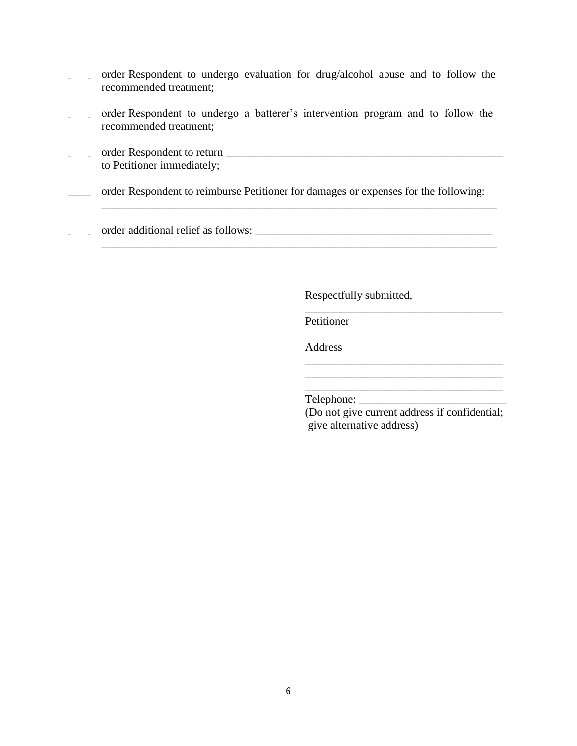- \_\_\_\_ order Respondent to undergo evaluation for drug/alcohol abuse and to follow the recommended treatment;
- \_\_\_\_ order Respondent to undergo a batterer's intervention program and to follow the recommended treatment;
- \_\_\_\_ order Respondent to return \_\_\_\_\_\_\_\_\_\_\_\_\_\_\_\_\_\_\_\_\_\_\_\_\_\_\_\_\_\_\_\_\_\_\_\_\_\_\_\_\_\_\_\_\_\_\_\_\_ to Petitioner immediately;

order Respondent to reimburse Petitioner for damages or expenses for the following:

\_\_\_\_\_\_\_\_\_\_\_\_\_\_\_\_\_\_\_\_\_\_\_\_\_\_\_\_\_\_\_\_\_\_\_\_\_\_\_\_\_\_\_\_\_\_\_\_\_\_\_\_\_\_\_\_\_\_\_\_\_\_\_\_\_\_\_\_\_\_

\_\_\_\_\_\_\_\_\_\_\_\_\_\_\_\_\_\_\_\_\_\_\_\_\_\_\_\_\_\_\_\_\_\_\_\_\_\_\_\_\_\_\_\_\_\_\_\_\_\_\_\_\_\_\_\_\_\_\_\_\_\_\_\_\_\_\_\_\_\_

 $\overline{\phantom{a}}$  , which is a set of the contract of the contract of the contract of the contract of the contract of the contract of the contract of the contract of the contract of the contract of the contract of the contract

 $\overline{\phantom{a}}$  , which is a set of the set of the set of the set of the set of the set of the set of the set of the set of the set of the set of the set of the set of the set of the set of the set of the set of the set of th

\_\_\_\_ order additional relief as follows: \_\_\_\_\_\_\_\_\_\_\_\_\_\_\_\_\_\_\_\_\_\_\_\_\_\_\_\_\_\_\_\_\_\_\_\_\_\_\_\_\_\_

Respectfully submitted,

Petitioner

Address

Telephone: \_\_\_\_\_\_\_\_\_\_\_\_\_\_\_\_\_\_\_\_\_\_\_\_\_\_

 (Do not give current address if confidential; give alternative address)

\_\_\_\_\_\_\_\_\_\_\_\_\_\_\_\_\_\_\_\_\_\_\_\_\_\_\_\_\_\_\_\_\_\_\_

\_\_\_\_\_\_\_\_\_\_\_\_\_\_\_\_\_\_\_\_\_\_\_\_\_\_\_\_\_\_\_\_\_\_\_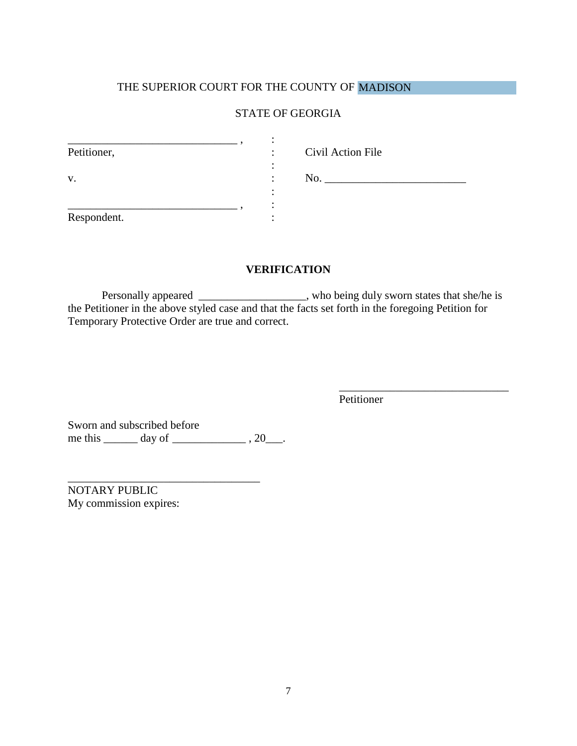### THE SUPERIOR COURT FOR THE COUNTY OF MADISON

#### STATE OF GEORGIA

| Petitioner, | ٠                             | Civil Action File |
|-------------|-------------------------------|-------------------|
| V.          | ٠<br>$\overline{\phantom{a}}$ | No.               |
| Respondent. |                               |                   |

#### **VERIFICATION**

Personally appeared \_\_\_\_\_\_\_\_\_\_\_\_\_\_\_\_, who being duly sworn states that she/he is the Petitioner in the above styled case and that the facts set forth in the foregoing Petition for Temporary Protective Order are true and correct.

Petitioner

\_\_\_\_\_\_\_\_\_\_\_\_\_\_\_\_\_\_\_\_\_\_\_\_\_\_\_\_\_\_

Sworn and subscribed before me this \_\_\_\_\_\_\_ day of \_\_\_\_\_\_\_\_\_\_\_\_\_\_\_\_\_\_\_, 20\_\_\_\_.

\_\_\_\_\_\_\_\_\_\_\_\_\_\_\_\_\_\_\_\_\_\_\_\_\_\_\_\_\_\_\_\_\_\_

NOTARY PUBLIC My commission expires: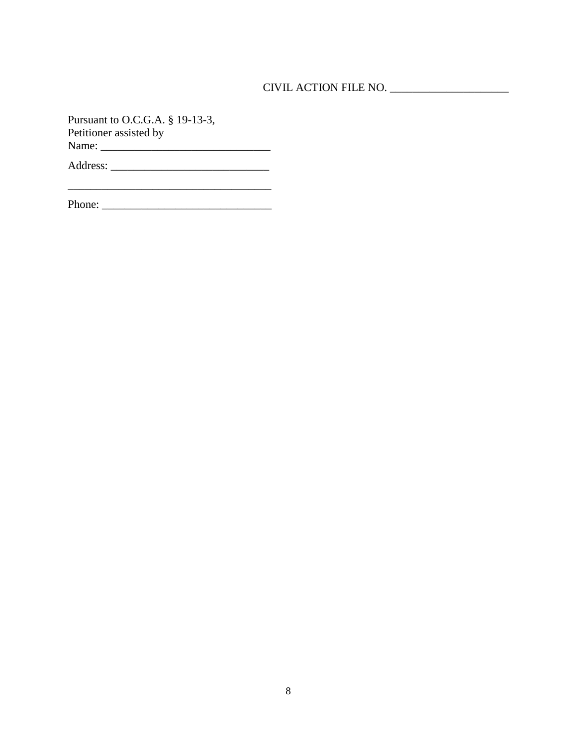## CIVIL ACTION FILE NO. \_\_\_\_\_\_\_\_\_\_\_\_\_\_\_\_\_\_\_\_\_

Pursuant to O.C.G.A. § 19-13-3, Petitioner assisted by Name: \_\_\_\_\_\_\_\_\_\_\_\_\_\_\_\_\_\_\_\_\_\_\_\_\_\_\_\_\_\_

Address: \_\_\_\_\_\_\_\_\_\_\_\_\_\_\_\_\_\_\_\_\_\_\_\_\_\_\_\_

| Phone: |
|--------|
|--------|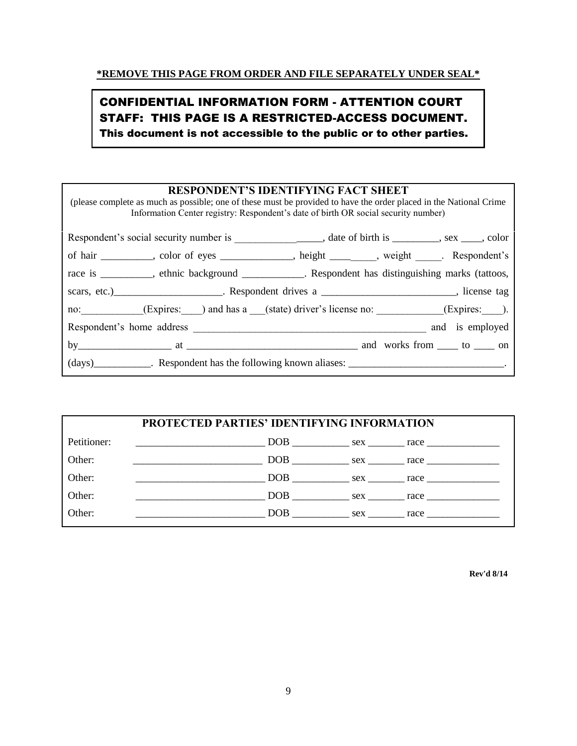# CONFIDENTIAL INFORMATION FORM - ATTENTION COURT STAFF: THIS PAGE IS A RESTRICTED-ACCESS DOCUMENT. This document is not accessible to the public or to other parties.

| <b>RESPONDENT'S IDENTIFYING FACT SHEET</b><br>(please complete as much as possible; one of these must be provided to have the order placed in the National Crime<br>Information Center registry: Respondent's date of birth OR social security number) |
|--------------------------------------------------------------------------------------------------------------------------------------------------------------------------------------------------------------------------------------------------------|
| Respondent's social security number is _________________________, date of birth is __________, sex _____, color                                                                                                                                        |
| of hair _________, color of eyes ___________, height ______, weight _____. Respondent's                                                                                                                                                                |
| race is ________, ethnic background __________. Respondent has distinguishing marks (tattoos,                                                                                                                                                          |
| scars, etc.) ______________________. Respondent drives a _________________________, license tag                                                                                                                                                        |
| no: (Expires: ) and has a (state) driver's license no: (Expires: ).                                                                                                                                                                                    |
|                                                                                                                                                                                                                                                        |
|                                                                                                                                                                                                                                                        |
| (days) Respondent has the following known aliases: _____________________________.                                                                                                                                                                      |

|             | <b>PROTECTED PARTIES' IDENTIFYING INFORMATION</b>                                                                     |                              |
|-------------|-----------------------------------------------------------------------------------------------------------------------|------------------------------|
| Petitioner: | $DOB$ sex race $\frac{1}{2}$                                                                                          |                              |
| Other:      |                                                                                                                       | $DOB$ sex race $\frac{1}{2}$ |
| Other:      | <b>DOB</b> sex race                                                                                                   |                              |
| Other:      | $DOB$ $sex$ $race$ $trace$                                                                                            |                              |
| Other:      | <u> 1980 - Johann Harry Barn, mars and de Branch and de Branch and de Branch and de Branch and de Branch and de B</u> | $DOB$ $sex$ $rac{arc}{}$     |

 **Rev'd 8/14**